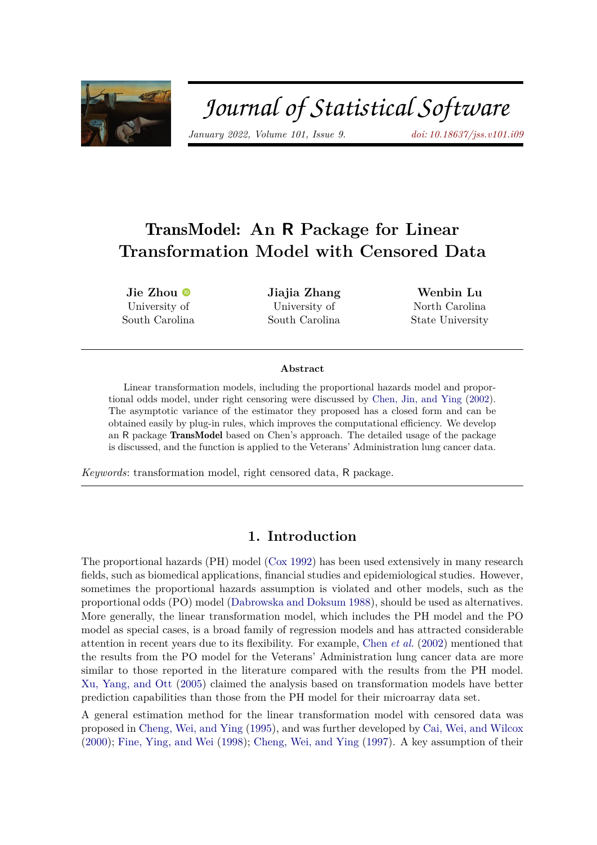

# Journal of Statistical Software

*January 2022, Volume 101, Issue 9. [doi: 10.18637/jss.v101.i09](https://doi.org/10.18637/jss.v101.i09)*

# TransModel**: An R Package for Linear Transformation Model with Censored Data**

**Jie Zhou** University of South Carolina **Jiajia Zhang** University of South Carolina

**Wenbin Lu** North Carolina State University

#### **Abstract**

Linear transformation models, including the proportional hazards model and proportional odds model, under right censoring were discussed by [Chen, Jin, and Ying](#page-10-0) [\(2002\)](#page-10-0). The asymptotic variance of the estimator they proposed has a closed form and can be obtained easily by plug-in rules, which improves the computational efficiency. We develop an R package TransModel based on Chen's approach. The detailed usage of the package is discussed, and the function is applied to the Veterans' Administration lung cancer data.

*Keywords*: transformation model, right censored data, R package.

#### **1. Introduction**

<span id="page-0-0"></span>The proportional hazards (PH) model [\(Cox](#page-10-1) [1992\)](#page-10-1) has been used extensively in many research fields, such as biomedical applications, financial studies and epidemiological studies. However, sometimes the proportional hazards assumption is violated and other models, such as the proportional odds (PO) model [\(Dabrowska and Doksum](#page-10-2) [1988\)](#page-10-2), should be used as alternatives. More generally, the linear transformation model, which includes the PH model and the PO model as special cases, is a broad family of regression models and has attracted considerable attention in recent years due to its flexibility. For example, [Chen](#page-10-0) *et al.* [\(2002\)](#page-10-0) mentioned that the results from the PO model for the Veterans' Administration lung cancer data are more similar to those reported in the literature compared with the results from the PH model. [Xu, Yang, and Ott](#page-10-3) [\(2005\)](#page-10-3) claimed the analysis based on transformation models have better prediction capabilities than those from the PH model for their microarray data set.

A general estimation method for the linear transformation model with censored data was proposed in [Cheng, Wei, and Ying](#page-10-4) [\(1995\)](#page-10-4), and was further developed by [Cai, Wei, and Wilcox](#page-10-5) [\(2000\)](#page-10-5); [Fine, Ying, and Wei](#page-10-6) [\(1998\)](#page-10-6); [Cheng, Wei, and Ying](#page-10-7) [\(1997\)](#page-10-7). A key assumption of their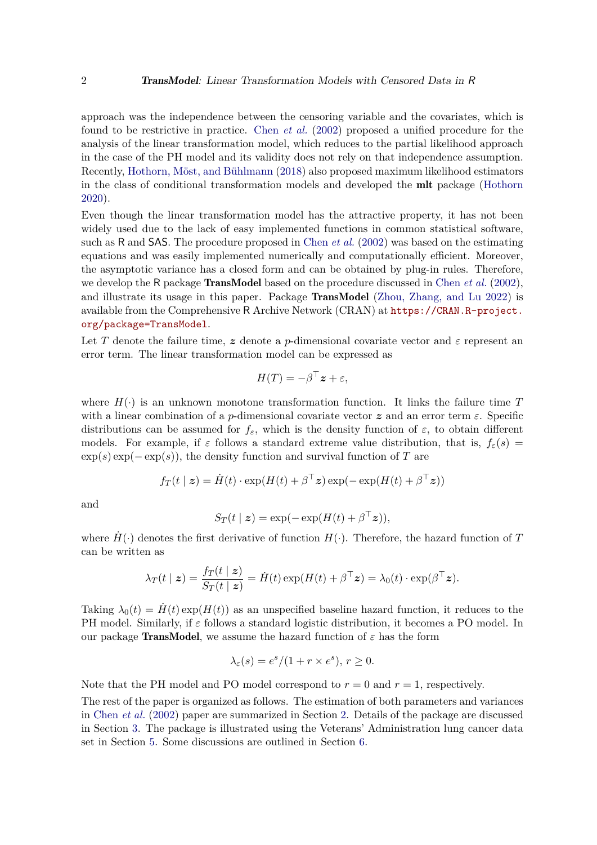approach was the independence between the censoring variable and the covariates, which is found to be restrictive in practice. [Chen](#page-10-0) *et al.* [\(2002\)](#page-10-0) proposed a unified procedure for the analysis of the linear transformation model, which reduces to the partial likelihood approach in the case of the PH model and its validity does not rely on that independence assumption. Recently, [Hothorn, Möst, and Bühlmann](#page-10-8) [\(2018\)](#page-10-8) also proposed maximum likelihood estimators in the class of conditional transformation models and developed the mlt package [\(Hothorn](#page-10-9) [2020\)](#page-10-9).

Even though the linear transformation model has the attractive property, it has not been widely used due to the lack of easy implemented functions in common statistical software, such as R and SAS. The procedure proposed in [Chen](#page-10-0) *et al.* [\(2002\)](#page-10-0) was based on the estimating equations and was easily implemented numerically and computationally efficient. Moreover, the asymptotic variance has a closed form and can be obtained by plug-in rules. Therefore, we develop the R package TransModel based on the procedure discussed in [Chen](#page-10-0) *et al.* [\(2002\)](#page-10-0), and illustrate its usage in this paper. Package TransModel [\(Zhou, Zhang, and Lu](#page-10-10) [2022\)](#page-10-10) is available from the Comprehensive R Archive Network (CRAN) at [https://CRAN.R-project.](https://CRAN.R-project.org/package=TransModel) [org/package=TransModel](https://CRAN.R-project.org/package=TransModel).

Let T denote the failure time, z denote a *p*-dimensional covariate vector and  $\varepsilon$  represent an error term. The linear transformation model can be expressed as

$$
H(T) = -\beta^{\top} z + \varepsilon,
$$

where  $H(\cdot)$  is an unknown monotone transformation function. It links the failure time T with a linear combination of a *p*-dimensional covariate vector *z* and an error term *ε*. Specific distributions can be assumed for  $f_{\varepsilon}$ , which is the density function of  $\varepsilon$ , to obtain different models. For example, if  $\varepsilon$  follows a standard extreme value distribution, that is,  $f_{\varepsilon}(s)$  =  $\exp(s) \exp(-\exp(s))$ , the density function and survival function of *T* are

$$
f_T(t \mid \boldsymbol{z}) = \dot{H}(t) \cdot \exp(H(t) + \beta^{\top} \boldsymbol{z}) \exp(-\exp(H(t) + \beta^{\top} \boldsymbol{z}))
$$

and

$$
S_T(t \mid \boldsymbol{z}) = \exp(-\exp(H(t) + \beta^{\top} \boldsymbol{z})),
$$

where  $H(\cdot)$  denotes the first derivative of function  $H(\cdot)$ . Therefore, the hazard function of *T* can be written as

$$
\lambda_T(t\mid \bm{z}) = \frac{f_T(t\mid \bm{z})}{S_T(t\mid \bm{z})} = \dot{H}(t)\exp(H(t) + \beta^\top \bm{z}) = \lambda_0(t)\cdot \exp(\beta^\top \bm{z}).
$$

Taking  $\lambda_0(t) = H(t) \exp(H(t))$  as an unspecified baseline hazard function, it reduces to the PH model. Similarly, if *ε* follows a standard logistic distribution, it becomes a PO model. In our package **TransModel**, we assume the hazard function of  $\varepsilon$  has the form

$$
\lambda_{\varepsilon}(s) = e^s / (1 + r \times e^s), r \ge 0.
$$

Note that the PH model and PO model correspond to  $r = 0$  and  $r = 1$ , respectively.

The rest of the paper is organized as follows. The estimation of both parameters and variances in [Chen](#page-10-0) *et al.* [\(2002\)](#page-10-0) paper are summarized in Section [2.](#page-2-0) Details of the package are discussed in Section [3.](#page-4-0) The package is illustrated using the Veterans' Administration lung cancer data set in Section [5.](#page-6-0) Some discussions are outlined in Section [6.](#page-9-0)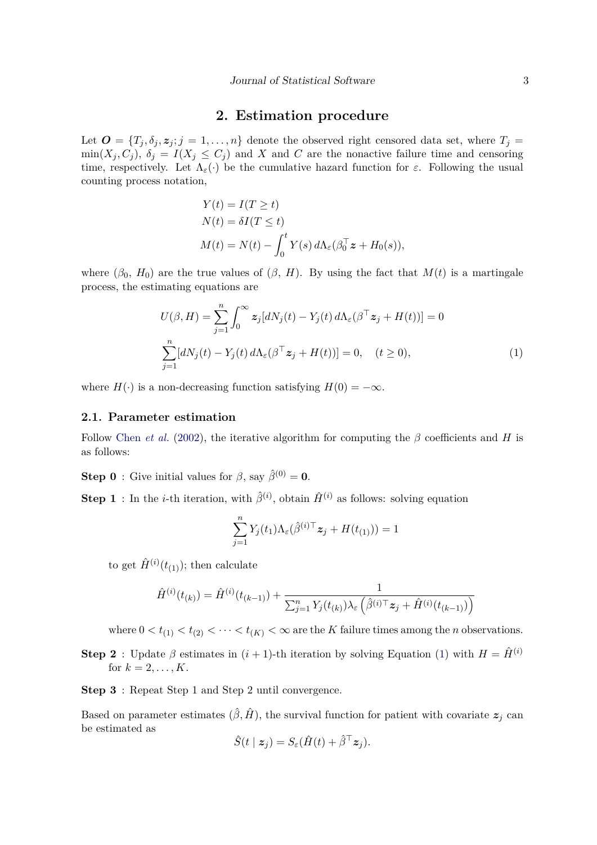#### **2. Estimation procedure**

<span id="page-2-0"></span>Let  $\mathbf{O} = \{T_j, \delta_j, \mathbf{z}_j; j = 1, \ldots, n\}$  denote the observed right censored data set, where  $T_j =$  $\min(X_i, C_i)$ ,  $\delta_i = I(X_i \leq C_i)$  and *X* and *C* are the nonactive failure time and censoring time, respectively. Let  $\Lambda_{\varepsilon}(\cdot)$  be the cumulative hazard function for  $\varepsilon$ . Following the usual counting process notation,

$$
Y(t) = I(T \ge t)
$$
  
\n
$$
N(t) = \delta I(T \le t)
$$
  
\n
$$
M(t) = N(t) - \int_0^t Y(s) d\Lambda_{\varepsilon} (\beta_0^{\top} \mathbf{z} + H_0(s)),
$$

where  $(\beta_0, H_0)$  are the true values of  $(\beta, H)$ . By using the fact that  $M(t)$  is a martingale process, the estimating equations are

$$
U(\beta, H) = \sum_{j=1}^{n} \int_0^{\infty} z_j [dN_j(t) - Y_j(t) d\Lambda_{\varepsilon}(\beta^{\top} z_j + H(t))] = 0
$$
  

$$
\sum_{j=1}^{n} [dN_j(t) - Y_j(t) d\Lambda_{\varepsilon}(\beta^{\top} z_j + H(t))] = 0, \quad (t \ge 0),
$$
 (1)

where  $H(\cdot)$  is a non-decreasing function satisfying  $H(0) = -\infty$ .

#### <span id="page-2-2"></span>**2.1. Parameter estimation**

Follow [Chen](#page-10-0) *et al.* [\(2002\)](#page-10-0), the iterative algorithm for computing the *β* coefficients and *H* is as follows:

**Step 0** : Give initial values for  $\beta$ , say  $\hat{\beta}^{(0)} = 0$ .

**Step 1**: In the *i*-th iteration, with  $\hat{\beta}^{(i)}$ , obtain  $\hat{H}^{(i)}$  as follows: solving equation

<span id="page-2-1"></span>
$$
\sum_{j=1}^n Y_j(t_1) \Lambda_{\varepsilon}(\hat{\beta}^{(i)\top} z_j + H(t_{(1)})) = 1
$$

to get  $\hat{H}^{(i)}(t_{(1)})$ ; then calculate

$$
\hat{H}^{(i)}(t_{(k)}) = \hat{H}^{(i)}(t_{(k-1)}) + \frac{1}{\sum_{j=1}^{n} Y_j(t_{(k)})\lambda_{\varepsilon} \left(\hat{\beta}^{(i)\top} \mathbf{z}_j + \hat{H}^{(i)}(t_{(k-1)})\right)}
$$

where  $0 < t_{(1)} < t_{(2)} < \cdots < t_{(K)} < \infty$  are the *K* failure times among the *n* observations.

**Step 2** : Update  $\beta$  estimates in  $(i + 1)$ -th iteration by solving Equation [\(1\)](#page-2-1) with  $H = \hat{H}^{(i)}$ for  $k = 2, ..., K$ .

**Step 3** : Repeat Step 1 and Step 2 until convergence.

Based on parameter estimates  $(\hat{\beta}, \hat{H})$ , the survival function for patient with covariate  $z_j$  can be estimated as

$$
\hat{S}(t \mid \mathbf{z}_j) = S_{\varepsilon}(\hat{H}(t) + \hat{\beta}^{\top} \mathbf{z}_j).
$$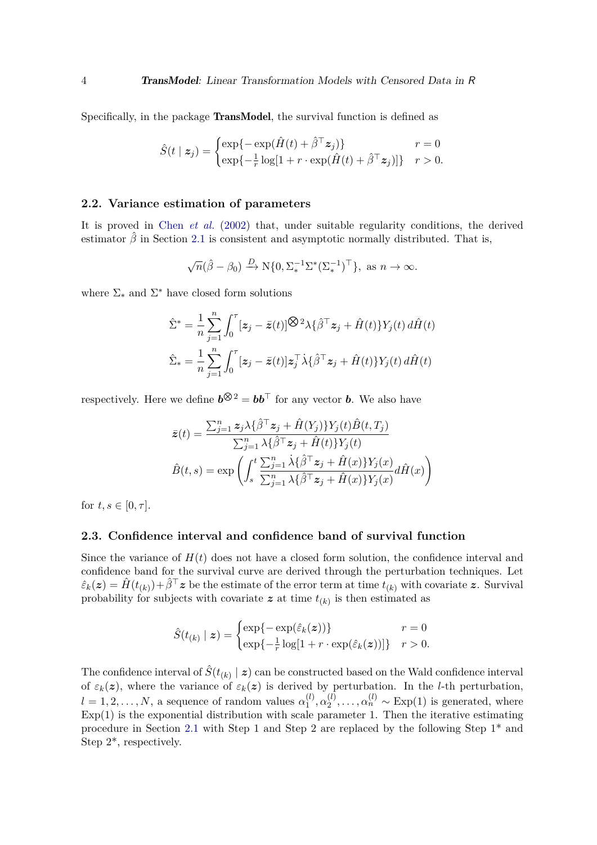Specifically, in the package TransModel, the survival function is defined as

$$
\hat{S}(t \mid \mathbf{z}_j) = \begin{cases} \exp\{-\exp(\hat{H}(t) + \hat{\beta}^\top \mathbf{z}_j)\} & r = 0\\ \exp\{-\frac{1}{r}\log[1 + r \cdot \exp(\hat{H}(t) + \hat{\beta}^\top \mathbf{z}_j)]\} & r > 0. \end{cases}
$$

#### **2.2. Variance estimation of parameters**

It is proved in Chen *[et al.](#page-10-0)* [\(2002\)](#page-10-0) that, under suitable regularity conditions, the derived estimator  $\hat{\beta}$  in Section [2.1](#page-2-2) is consistent and asymptotic normally distributed. That is,

$$
\sqrt{n}(\hat{\beta} - \beta_0) \xrightarrow{D} N\{0, \Sigma_*^{-1} \Sigma^* (\Sigma_*^{-1})^\top\}, \text{ as } n \to \infty.
$$

where  $\Sigma_*$  and  $\Sigma^*$  have closed form solutions

$$
\hat{\Sigma}^* = \frac{1}{n} \sum_{j=1}^n \int_0^\tau [\mathbf{z}_j - \bar{\mathbf{z}}(t)] \hat{\mathbf{S}}^2 \lambda \{\hat{\beta}^\top \mathbf{z}_j + \hat{H}(t)\} Y_j(t) \, d\hat{H}(t)
$$
\n
$$
\hat{\Sigma}_* = \frac{1}{n} \sum_{j=1}^n \int_0^\tau [\mathbf{z}_j - \bar{\mathbf{z}}(t)] \mathbf{z}_j^\top \dot{\lambda} \{\hat{\beta}^\top \mathbf{z}_j + \hat{H}(t)\} Y_j(t) \, d\hat{H}(t)
$$

respectively. Here we define  $b^{\bigotimes 2} = bb^{\top}$  for any vector *b*. We also have

$$
\begin{aligned}\n\bar{z}(t) &= \frac{\sum_{j=1}^{n} z_j \lambda \{\hat{\beta}^\top z_j + \hat{H}(Y_j)\} Y_j(t) \hat{B}(t, T_j)}{\sum_{j=1}^{n} \lambda \{\hat{\beta}^\top z_j + \hat{H}(t)\} Y_j(t)} \\
\hat{B}(t, s) &= \exp\left(\int_s^t \frac{\sum_{j=1}^{n} \lambda \{\hat{\beta}^\top z_j + \hat{H}(x)\} Y_j(x)}{\sum_{j=1}^{n} \lambda \{\hat{\beta}^\top z_j + \hat{H}(x)\} Y_j(x)} d\hat{H}(x)\right)\n\end{aligned}
$$

for  $t, s \in [0, \tau]$ .

#### **2.3. Confidence interval and confidence band of survival function**

Since the variance of  $H(t)$  does not have a closed form solution, the confidence interval and confidence band for the survival curve are derived through the perturbation techniques. Let  $\hat{\varepsilon}_k(z) = \hat{H}(t_{(k)}) + \hat{\beta}^\top z$  be the estimate of the error term at time  $\hat{t}_{(k)}$  with covariate *z*. Survival probability for subjects with covariate  $z$  at time  $t_{(k)}$  is then estimated as

$$
\hat{S}(t_{(k)} | \mathbf{z}) = \begin{cases} \exp\{-\exp(\hat{\varepsilon}_k(\mathbf{z}))\} & r = 0\\ \exp\{-\frac{1}{r}\log[1 + r \cdot \exp(\hat{\varepsilon}_k(\mathbf{z}))]\} & r > 0. \end{cases}
$$

The confidence interval of  $\hat{S}(t_{(k)} | z)$  can be constructed based on the Wald confidence interval of  $\varepsilon_k(z)$ , where the variance of  $\varepsilon_k(z)$  is derived by perturbation. In the *l*-th perturbation,  $l = 1, 2, \ldots, N$ , a sequence of random values  $\alpha_1^{(l)}$  $\alpha_1^{(l)},\alpha_2^{(l)}$  $\alpha_2^{(l)}, \ldots, \alpha_n^{(l)} \sim \text{Exp}(1)$  is generated, where  $Exp(1)$  is the exponential distribution with scale parameter 1. Then the iterative estimating procedure in Section [2.1](#page-2-2) with Step 1 and Step 2 are replaced by the following Step 1\* and Step 2\*, respectively.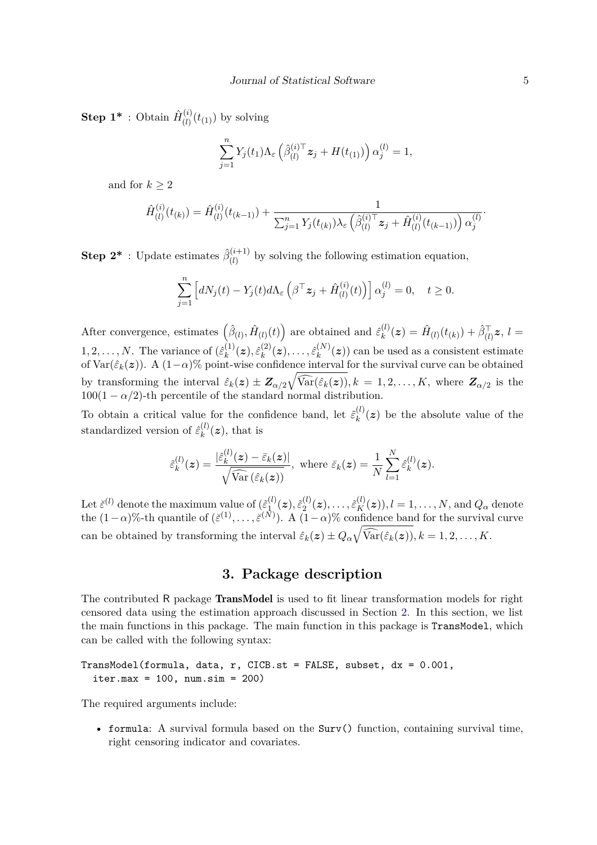**Step 1\*** : Obtain  $\hat{H}_{(l)}^{(i)}$  $\binom{v}{l}(t_{(1)})$  by solving

$$
\sum_{j=1}^n Y_j(t_1) \Lambda_{\varepsilon} \left( \hat{\beta}_{(l)}^{(i)\top} z_j + H(t_{(1)}) \right) \alpha_j^{(l)} = 1,
$$

and for  $k \geq 2$ 

$$
\hat{H}_{(l)}^{(i)}(t_{(k)}) = \hat{H}_{(l)}^{(i)}(t_{(k-1)}) + \frac{1}{\sum_{j=1}^{n} Y_j(t_{(k)})\lambda_{\varepsilon}\left(\hat{\beta}_{(l)}^{(i)\top}\mathbf{z}_j + \hat{H}_{(l)}^{(i)}(t_{(k-1)})\right)\alpha_j^{(l)}}.
$$

**Step 2<sup>\*</sup>** : Update estimates  $\hat{\beta}_{(l)}^{(i+1)}$  $\binom{(l+1)}{(l)}$  by solving the following estimation equation,

$$
\sum_{j=1}^n \left[ dN_j(t) - Y_j(t) d\Lambda_{\varepsilon} \left( \beta^{\top} \mathbf{z}_j + \hat{H}_{(l)}^{(i)}(t) \right) \right] \alpha_j^{(l)} = 0, \quad t \ge 0.
$$

After convergence, estimates  $(\hat{\beta}_{(l)}, \hat{H}_{(l)}(t))$  are obtained and  $\hat{\varepsilon}_k^{(l)}$  $\hat{H}_{(l)}^{(l)}(\boldsymbol{z}) = \hat{H}_{(l)}(t_{(k)}) + \hat{\beta}_{(l)}^{\top} \boldsymbol{z}, ~ l = 0$  $1, 2, \ldots, N$ . The variance of  $(\hat{\varepsilon}_k^{(1)})$  $\hat{\varepsilon}_k^{(1)}(\boldsymbol{z}), \hat{\varepsilon}_k^{(2)}$  $\hat{\epsilon}_k^{(2)}(z), \ldots, \hat{\varepsilon}_k^{(N)}$  $f_k^{(N)}(z)$  can be used as a consistent estimate of  $Var(\hat{\varepsilon}_k(z))$ . A  $(1-\alpha)\%$  point-wise confidence interval for the survival curve can be obtained by transforming the interval  $\hat{\varepsilon}_k(z) \pm \mathbf{Z}_{\alpha/2} \sqrt{\widehat{\text{Var}}(\hat{\varepsilon}_k(z))}, k = 1, 2, ..., K$ , where  $\mathbf{Z}_{\alpha/2}$  is the  $100(1 - \alpha/2)$ -th percentile of the standard normal distribution.

To obtain a critical value for the confidence band, let  $\tilde{\varepsilon}_k^{(l)}$  $f_k^{(l)}(z)$  be the absolute value of the standardized version of  $\hat{\varepsilon}^{(l)}_k$  $k^{(i)}(z)$ , that is

$$
\tilde{\varepsilon}_k^{(l)}(z) = \frac{|\hat{\varepsilon}_k^{(l)}(z) - \bar{\varepsilon}_k(z)|}{\sqrt{\widehat{\text{Var}}\left(\hat{\varepsilon}_k(z)\right)}}, \text{ where } \bar{\varepsilon}_k(z) = \frac{1}{N} \sum_{l=1}^N \hat{\varepsilon}_k^{(l)}(z).
$$

Let  $\check{\varepsilon}^{(l)}$  denote the maximum value of  $(\tilde{\varepsilon}_1^{(l)})$  $\tilde{\epsilon}_1^{(l)}(\boldsymbol{z}), \tilde{\varepsilon}_2^{(l)}$  $\tilde{z}_2^{(l)}(\boldsymbol{z}), \ldots, \tilde{\varepsilon}_K^{(l)}(\boldsymbol{z})), l=1,\ldots,N, \text{and } Q_{\alpha} \text{ denote }$ the  $(1-\alpha)$ %-th quantile of  $(\check{\varepsilon}^{(1)}, \ldots, \check{\varepsilon}^{(N)})$ . A  $(1-\alpha)$ % confidence band for the survival curve can be obtained by transforming the interval  $\hat{\varepsilon}_k(z) \pm Q_\alpha \sqrt{\widehat{\text{Var}}(\hat{\varepsilon}_k(z))}, k = 1, 2, \ldots, K$ .

### **3. Package description**

<span id="page-4-0"></span>The contributed R package **TransModel** is used to fit linear transformation models for right censored data using the estimation approach discussed in Section [2.](#page-2-0) In this section, we list the main functions in this package. The main function in this package is TransModel, which can be called with the following syntax:

TransModel(formula, data, r, CICB.st = FALSE, subset, dx = 0.001,  $iter.max = 100$ ,  $num.isim = 200)$ 

The required arguments include:

• formula: A survival formula based on the Surv() function, containing survival time, right censoring indicator and covariates.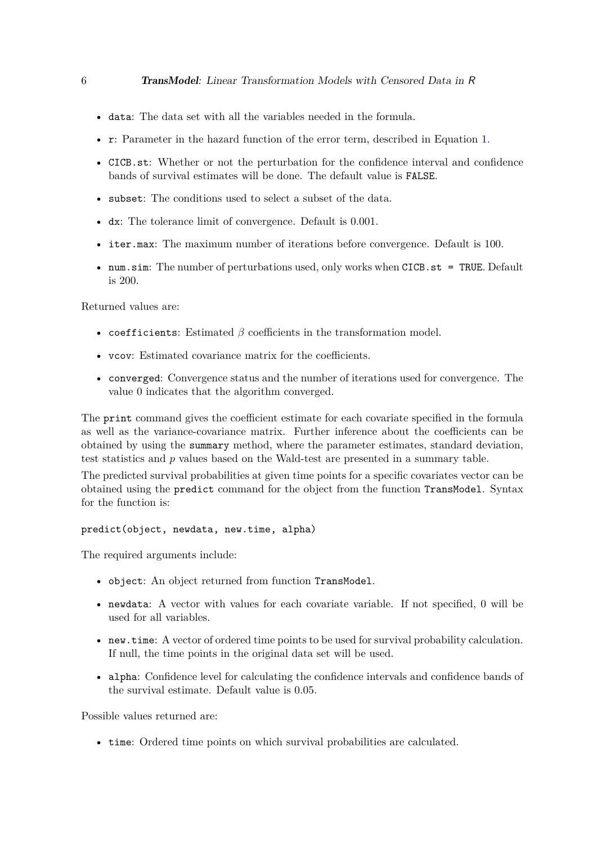- data: The data set with all the variables needed in the formula.
- r: Parameter in the hazard function of the error term, described in Equation [1.](#page-0-0)
- CICB.st: Whether or not the perturbation for the confidence interval and confidence bands of survival estimates will be done. The default value is FALSE.
- subset: The conditions used to select a subset of the data.
- dx: The tolerance limit of convergence. Default is 0.001.
- iter.max: The maximum number of iterations before convergence. Default is 100.
- num.sim: The number of perturbations used, only works when CICB.st = TRUE. Default is 200.

Returned values are:

- coefficients: Estimated *β* coefficients in the transformation model.
- vcov: Estimated covariance matrix for the coefficients.
- converged: Convergence status and the number of iterations used for convergence. The value 0 indicates that the algorithm converged.

The print command gives the coefficient estimate for each covariate specified in the formula as well as the variance-covariance matrix. Further inference about the coefficients can be obtained by using the summary method, where the parameter estimates, standard deviation, test statistics and *p* values based on the Wald-test are presented in a summary table.

The predicted survival probabilities at given time points for a specific covariates vector can be obtained using the predict command for the object from the function TransModel. Syntax for the function is:

#### predict(object, newdata, new.time, alpha)

The required arguments include:

- object: An object returned from function TransModel.
- newdata: A vector with values for each covariate variable. If not specified, 0 will be used for all variables.
- new.time: A vector of ordered time points to be used for survival probability calculation. If null, the time points in the original data set will be used.
- alpha: Confidence level for calculating the confidence intervals and confidence bands of the survival estimate. Default value is 0.05.

Possible values returned are:

• time: Ordered time points on which survival probabilities are calculated.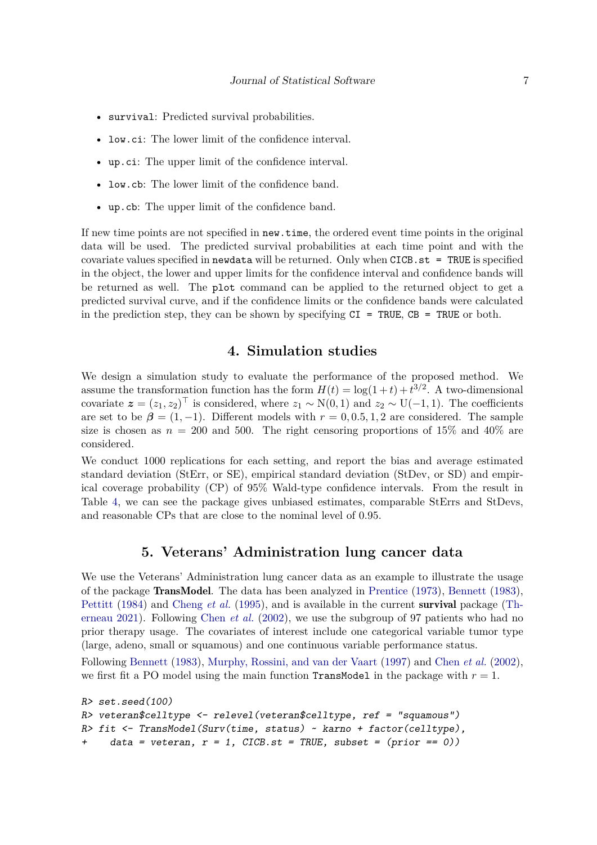- survival: Predicted survival probabilities.
- low.ci: The lower limit of the confidence interval.
- up.ci: The upper limit of the confidence interval.
- low.cb: The lower limit of the confidence band.
- up.cb: The upper limit of the confidence band.

If new time points are not specified in new.time, the ordered event time points in the original data will be used. The predicted survival probabilities at each time point and with the covariate values specified in newdata will be returned. Only when CICB.st = TRUE is specified in the object, the lower and upper limits for the confidence interval and confidence bands will be returned as well. The plot command can be applied to the returned object to get a predicted survival curve, and if the confidence limits or the confidence bands were calculated in the prediction step, they can be shown by specifying  $CI = TRUE$ ,  $CB = TRUE$  or both.

# **4. Simulation studies**

<span id="page-6-1"></span>We design a simulation study to evaluate the performance of the proposed method. We assume the transformation function has the form  $H(t) = \log(1+t) + t^{3/2}$ . A two-dimensional covariate  $\boldsymbol{z} = (z_1, z_2)^\top$  is considered, where  $z_1 \sim N(0, 1)$  and  $z_2 \sim U(-1, 1)$ . The coefficients are set to be  $\beta = (1, -1)$ . Different models with  $r = 0, 0.5, 1, 2$  are considered. The sample size is chosen as  $n = 200$  and 500. The right censoring proportions of 15% and 40% are considered.

We conduct 1000 replications for each setting, and report the bias and average estimated standard deviation (StErr, or SE), empirical standard deviation (StDev, or SD) and empirical coverage probability (CP) of 95% Wald-type confidence intervals. From the result in Table [4,](#page-6-1) we can see the package gives unbiased estimates, comparable StErrs and StDevs, and reasonable CPs that are close to the nominal level of 0.95.

#### **5. Veterans' Administration lung cancer data**

<span id="page-6-0"></span>We use the Veterans' Administration lung cancer data as an example to illustrate the usage of the package TransModel. The data has been analyzed in [Prentice](#page-10-11) [\(1973\)](#page-10-11), [Bennett](#page-9-1) [\(1983\)](#page-9-1), [Pettitt](#page-10-12) [\(1984\)](#page-10-12) and [Cheng](#page-10-4) *et al.* [\(1995\)](#page-10-4), and is available in the current survival package [\(Th](#page-10-13)[erneau](#page-10-13) [2021\)](#page-10-13). Following [Chen](#page-10-0) *et al.* [\(2002\)](#page-10-0), we use the subgroup of 97 patients who had no prior therapy usage. The covariates of interest include one categorical variable tumor type (large, adeno, small or squamous) and one continuous variable performance status.

Following [Bennett](#page-9-1) [\(1983\)](#page-9-1), [Murphy, Rossini, and van der Vaart](#page-10-14) [\(1997\)](#page-10-14) and [Chen](#page-10-0) *et al.* [\(2002\)](#page-10-0), we first fit a PO model using the main function **TransModel** in the package with  $r = 1$ .

```
R> set.seed(100)
R> veteran$celltype <- relevel(veteran$celltype, ref = "squamous")
R> fit <- TransModel(Surv(time, status) ~ karno + factor(celltype),
    data = vertex, r = 1, CICB.st = TRUE, subset = (prior == 0)
```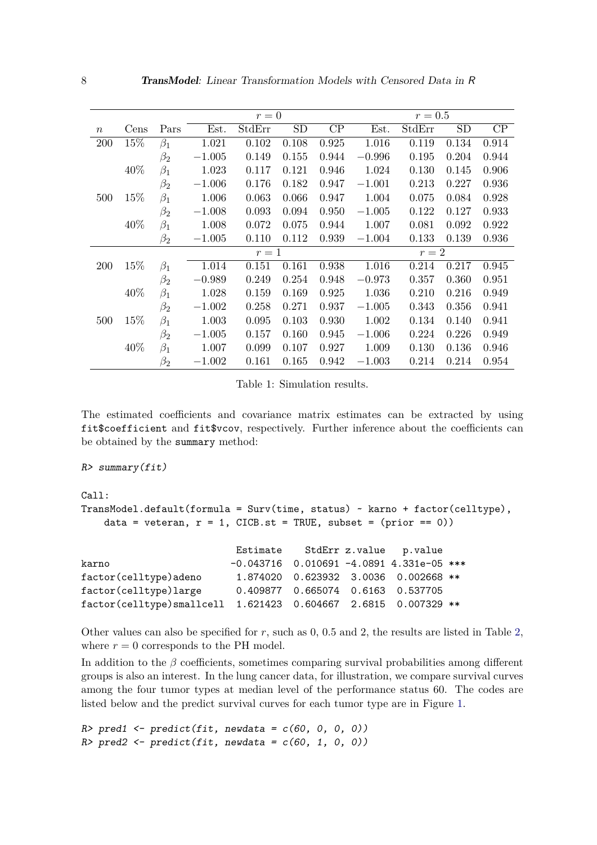|                  |      |           |          | $r=0$  |       |                 | $r=0.5$  |        |           |                 |  |
|------------------|------|-----------|----------|--------|-------|-----------------|----------|--------|-----------|-----------------|--|
| $\boldsymbol{n}$ | Cens | Pars      | Est.     | StdErr | SD    | $\overline{CP}$ | Est.     | StdErr | <b>SD</b> | $\overline{CP}$ |  |
| 200              | 15%  | $\beta_1$ | 1.021    | 0.102  | 0.108 | 0.925           | 1.016    | 0.119  | 0.134     | 0.914           |  |
|                  |      | $\beta_2$ | $-1.005$ | 0.149  | 0.155 | 0.944           | $-0.996$ | 0.195  | 0.204     | 0.944           |  |
|                  | 40%  | $\beta_1$ | 1.023    | 0.117  | 0.121 | 0.946           | 1.024    | 0.130  | 0.145     | 0.906           |  |
|                  |      | $\beta_2$ | $-1.006$ | 0.176  | 0.182 | 0.947           | $-1.001$ | 0.213  | 0.227     | 0.936           |  |
| 500              | 15%  | $\beta_1$ | 1.006    | 0.063  | 0.066 | 0.947           | 1.004    | 0.075  | 0.084     | 0.928           |  |
|                  |      | $\beta_2$ | $-1.008$ | 0.093  | 0.094 | 0.950           | $-1.005$ | 0.122  | 0.127     | 0.933           |  |
|                  | 40%  | $\beta_1$ | 1.008    | 0.072  | 0.075 | 0.944           | 1.007    | 0.081  | 0.092     | 0.922           |  |
|                  |      | $\beta_2$ | $-1.005$ | 0.110  | 0.112 | 0.939           | $-1.004$ | 0.133  | 0.139     | 0.936           |  |
|                  |      |           | $r=1$    |        |       |                 | $r=2$    |        |           |                 |  |
| <b>200</b>       | 15%  | $\beta_1$ | 1.014    | 0.151  | 0.161 | 0.938           | 1.016    | 0.214  | 0.217     | 0.945           |  |
|                  |      | $\beta_2$ | $-0.989$ | 0.249  | 0.254 | 0.948           | $-0.973$ | 0.357  | 0.360     | 0.951           |  |
|                  | 40%  | $\beta_1$ | 1.028    | 0.159  | 0.169 | 0.925           | 1.036    | 0.210  | 0.216     | 0.949           |  |
|                  |      | $\beta_2$ | $-1.002$ | 0.258  | 0.271 | 0.937           | $-1.005$ | 0.343  | 0.356     | 0.941           |  |
| 500              | 15%  | $\beta_1$ | 1.003    | 0.095  | 0.103 | 0.930           | 1.002    | 0.134  | 0.140     | 0.941           |  |
|                  |      | $\beta_2$ | $-1.005$ | 0.157  | 0.160 | 0.945           | $-1.006$ | 0.224  | 0.226     | 0.949           |  |
|                  | 40%  | $\beta_1$ | 1.007    | 0.099  | 0.107 | 0.927           | 1.009    | 0.130  | 0.136     | 0.946           |  |
|                  |      | $\beta_2$ | $-1.002$ | 0.161  | 0.165 | 0.942           | $-1.003$ | 0.214  | 0.214     | 0.954           |  |

Table 1: Simulation results.

The estimated coefficients and covariance matrix estimates can be extracted by using fit\$coefficient and fit\$vcov, respectively. Further inference about the coefficients can be obtained by the summary method:

#### R> summary(fit)

```
Call:
TransModel.default(formula = Surv(time, status) ~ karno + factor(celltype),
   data = veteran, r = 1, CICB.st = TRUE, subset = (prior == 0))
```

|                                                                |                                            |  | Estimate StdErr z.value p.value         |  |
|----------------------------------------------------------------|--------------------------------------------|--|-----------------------------------------|--|
| karno                                                          | $-0.043716$ 0.010691 -4.0891 4.331e-05 *** |  |                                         |  |
| factor(celltype)adeno                                          |                                            |  | 1.874020  0.623932  3.0036  0.002668 ** |  |
| factor(celltype)large                                          |                                            |  | 0.409877  0.665074  0.6163  0.537705    |  |
| factor(celltype)smallcell 1.621423 0.604667 2.6815 0.007329 ** |                                            |  |                                         |  |

Other values can also be specified for *r*, such as 0, 0.5 and 2, the results are listed in Table [2,](#page-8-0) where  $r = 0$  corresponds to the PH model.

In addition to the  $\beta$  coefficients, sometimes comparing survival probabilities among different groups is also an interest. In the lung cancer data, for illustration, we compare survival curves among the four tumor types at median level of the performance status 60. The codes are listed below and the predict survival curves for each tumor type are in Figure [1.](#page-8-1)

```
R> pred1 <- predict(fit, newdata = c(60, 0, 0, 0))
R> pred2 <- predict(fit, newdata = c(60, 1, 0, 0))
```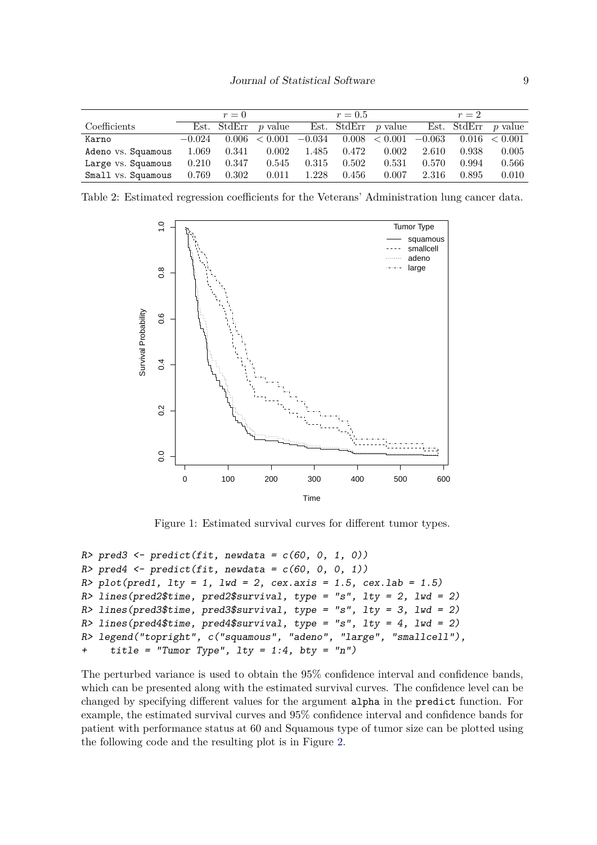|                    |          | $r=0$ |                          |       | $r = 0.5$ |                       |          | $r=2$ |                       |
|--------------------|----------|-------|--------------------------|-------|-----------|-----------------------|----------|-------|-----------------------|
| Coefficients       |          |       | Est. StdErr $p$ value    |       |           | Est. StdErr $p$ value |          |       | Est. StdErr $p$ value |
| Karno              | $-0.024$ |       | $0.006 \le 0.001 -0.034$ |       |           | 0.008 < 0.001         | $-0.063$ |       | $0.016 \le 0.001$     |
| Adeno vs. Squamous | 1.069    | 0.341 | 0.002                    | 1.485 | 0.472     | 0.002                 | 2.610    | 0.938 | 0.005                 |
| Large vs. Squamous | 0.210    | 0.347 | 0.545                    | 0.315 | 0.502     | 0.531                 | 0.570    | 0.994 | 0.566                 |
| Small vs. Squamous | 0.769    | 0.302 | 0.011                    | 1.228 | 0.456     | 0.007                 | 2.316    | 0.895 | 0.010                 |

Table 2: Estimated regression coefficients for the Veterans' Administration lung cancer data.

<span id="page-8-0"></span>

<span id="page-8-1"></span>Figure 1: Estimated survival curves for different tumor types.

```
R> pred3 <- predict(fit, newdata = c(60, 0, 1, 0))
R> pred4 <- predict(fit, newdata = c(60, 0, 0, 1))
R > plot(pred1, 1ty = 1, 1wd = 2, cex.axis = 1.5, cex.lab = 1.5)
R> lines(pred2$time, pred2$survival, type = "s", lty = 2, lwd = 2)
R> lines(pred3$time, pred3$survival, type = "s", lty = 3, lwd = 2)
R> lines(pred4$time, pred4$survival, type = "s", lty = 4, lwd = 2)
R> legend("topright", c("squamous", "adeno", "large", "smallcell"),
+ title = "Tumor Type", lty = 1:4, bty = "n")
```
The perturbed variance is used to obtain the 95% confidence interval and confidence bands, which can be presented along with the estimated survival curves. The confidence level can be changed by specifying different values for the argument alpha in the predict function. For example, the estimated survival curves and 95% confidence interval and confidence bands for patient with performance status at 60 and Squamous type of tumor size can be plotted using the following code and the resulting plot is in Figure [2.](#page-9-2)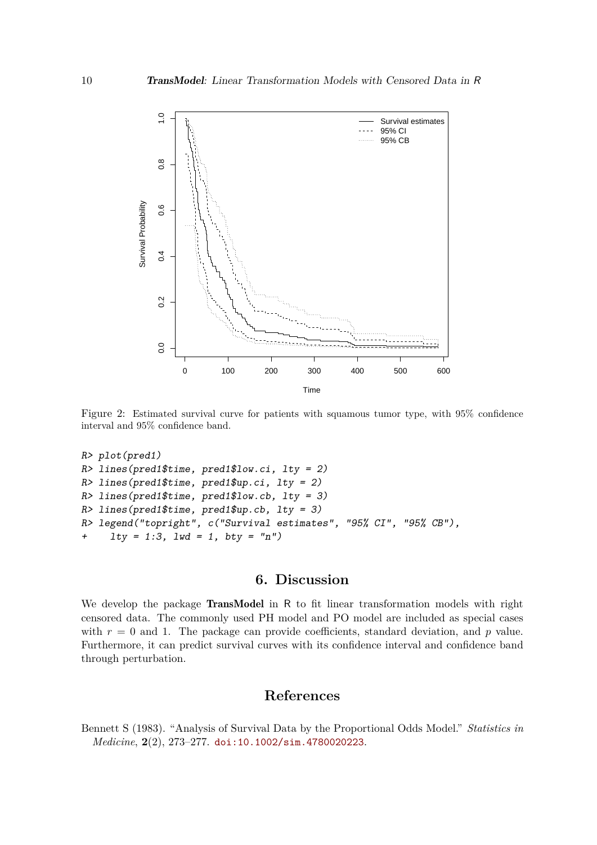

<span id="page-9-2"></span>Figure 2: Estimated survival curve for patients with squamous tumor type, with 95% confidence interval and 95% confidence band.

```
R> plot(pred1)
R > lines(pred1$time, pred1$low.ci, lty = 2)
R> lines(pred1$time, pred1$up.ci, lty = 2)
R> lines(pred1$time, pred1$low.cb, lty = 3)
R> lines(pred1$time, pred1$up.cb, lty = 3)
R> legend("topright", c("Survival estimates", "95% CI", "95% CB"),
     1ty = 1:3, 1wd = 1, bty = "n")
```
# **6. Discussion**

<span id="page-9-0"></span>We develop the package **TransModel** in R to fit linear transformation models with right censored data. The commonly used PH model and PO model are included as special cases with  $r = 0$  and 1. The package can provide coefficients, standard deviation, and  $p$  value. Furthermore, it can predict survival curves with its confidence interval and confidence band through perturbation.

## **References**

<span id="page-9-1"></span>Bennett S (1983). "Analysis of Survival Data by the Proportional Odds Model." *Statistics in Medicine*, **2**(2), 273–277. [doi:10.1002/sim.4780020223](https://doi.org/10.1002/sim.4780020223).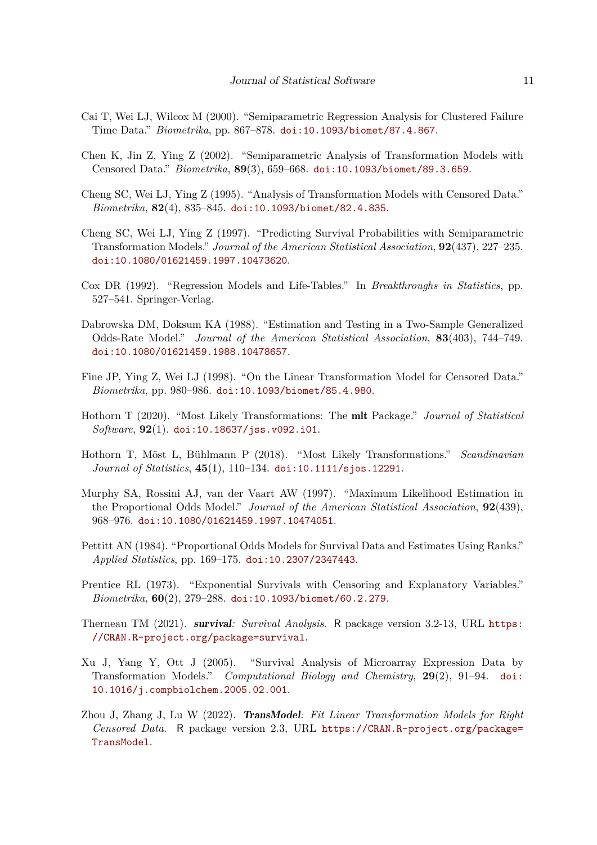- <span id="page-10-5"></span>Cai T, Wei LJ, Wilcox M (2000). "Semiparametric Regression Analysis for Clustered Failure Time Data." *Biometrika*, pp. 867–878. [doi:10.1093/biomet/87.4.867](https://doi.org/10.1093/biomet/87.4.867).
- <span id="page-10-0"></span>Chen K, Jin Z, Ying Z (2002). "Semiparametric Analysis of Transformation Models with Censored Data." *Biometrika*, **89**(3), 659–668. [doi:10.1093/biomet/89.3.659](https://doi.org/10.1093/biomet/89.3.659).
- <span id="page-10-4"></span>Cheng SC, Wei LJ, Ying Z (1995). "Analysis of Transformation Models with Censored Data." *Biometrika*, **82**(4), 835–845. [doi:10.1093/biomet/82.4.835](https://doi.org/10.1093/biomet/82.4.835).
- <span id="page-10-7"></span>Cheng SC, Wei LJ, Ying Z (1997). "Predicting Survival Probabilities with Semiparametric Transformation Models." *Journal of the American Statistical Association*, **92**(437), 227–235. [doi:10.1080/01621459.1997.10473620](https://doi.org/10.1080/01621459.1997.10473620).
- <span id="page-10-1"></span>Cox DR (1992). "Regression Models and Life-Tables." In *Breakthroughs in Statistics*, pp. 527–541. Springer-Verlag.
- <span id="page-10-2"></span>Dabrowska DM, Doksum KA (1988). "Estimation and Testing in a Two-Sample Generalized Odds-Rate Model." *Journal of the American Statistical Association*, **83**(403), 744–749. [doi:10.1080/01621459.1988.10478657](https://doi.org/10.1080/01621459.1988.10478657).
- <span id="page-10-6"></span>Fine JP, Ying Z, Wei LJ (1998). "On the Linear Transformation Model for Censored Data." *Biometrika*, pp. 980–986. [doi:10.1093/biomet/85.4.980](https://doi.org/10.1093/biomet/85.4.980).
- <span id="page-10-9"></span>Hothorn T (2020). "Most Likely Transformations: The mlt Package." *Journal of Statistical Software*, **92**(1). [doi:10.18637/jss.v092.i01](https://doi.org/10.18637/jss.v092.i01).
- <span id="page-10-8"></span>Hothorn T, Möst L, Bühlmann P (2018). "Most Likely Transformations." *Scandinavian Journal of Statistics*, **45**(1), 110–134. [doi:10.1111/sjos.12291](https://doi.org/10.1111/sjos.12291).
- <span id="page-10-14"></span>Murphy SA, Rossini AJ, van der Vaart AW (1997). "Maximum Likelihood Estimation in the Proportional Odds Model." *Journal of the American Statistical Association*, **92**(439), 968–976. [doi:10.1080/01621459.1997.10474051](https://doi.org/10.1080/01621459.1997.10474051).
- <span id="page-10-12"></span>Pettitt AN (1984). "Proportional Odds Models for Survival Data and Estimates Using Ranks." *Applied Statistics*, pp. 169–175. [doi:10.2307/2347443](https://doi.org/10.2307/2347443).
- <span id="page-10-11"></span>Prentice RL (1973). "Exponential Survivals with Censoring and Explanatory Variables." *Biometrika*, **60**(2), 279–288. [doi:10.1093/biomet/60.2.279](https://doi.org/10.1093/biomet/60.2.279).
- <span id="page-10-13"></span>Therneau TM (2021). survival*: Survival Analysis*. R package version 3.2-13, URL [https:](https://CRAN.R-project.org/package=survival) [//CRAN.R-project.org/package=survival](https://CRAN.R-project.org/package=survival).
- <span id="page-10-3"></span>Xu J, Yang Y, Ott J (2005). "Survival Analysis of Microarray Expression Data by Transformation Models." *Computational Biology and Chemistry*, **29**(2), 91–94. [doi:](https://doi.org/10.1016/j.compbiolchem.2005.02.001) [10.1016/j.compbiolchem.2005.02.001](https://doi.org/10.1016/j.compbiolchem.2005.02.001).
- <span id="page-10-10"></span>Zhou J, Zhang J, Lu W (2022). TransModel*: Fit Linear Transformation Models for Right Censored Data*. R package version 2.3, URL [https://CRAN.R-project.org/package=](https://CRAN.R-project.org/package=TransModel) [TransModel](https://CRAN.R-project.org/package=TransModel).